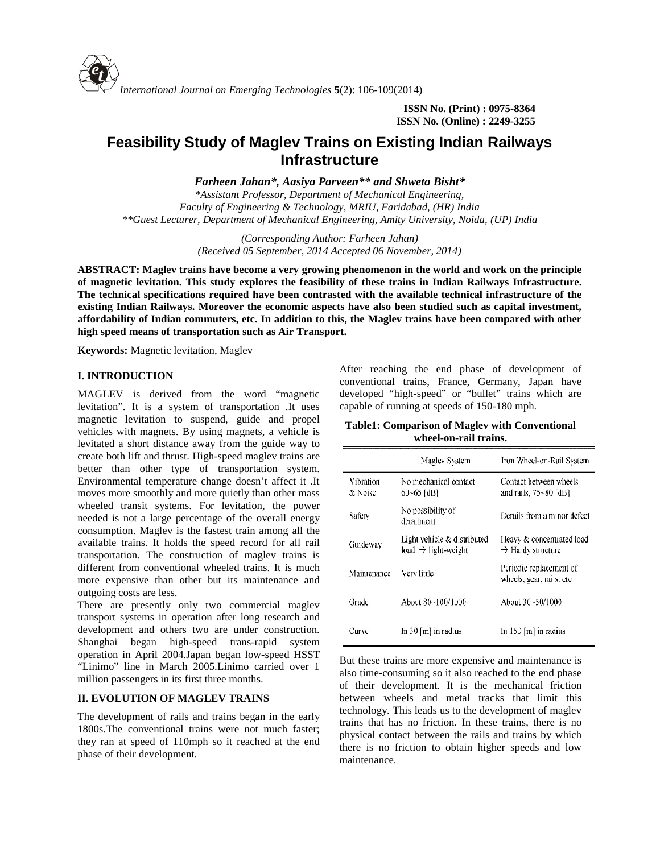

**ISSN No. (Print) : 0975-8364 ISSN No. (Online) : 2249-3255**

# **Feasibility Study of Maglev Trains on Existing Indian Railways Infrastructure**

*Farheen Jahan\*, Aasiya Parveen\*\* and Shweta Bisht\**

*\*Assistant Professor, Department of Mechanical Engineering, Faculty of Engineering & Technology, MRIU, Faridabad, (HR) India \*\*Guest Lecturer, Department of Mechanical Engineering, Amity University, Noida, (UP) India*

> *(Corresponding Author: Farheen Jahan) (Received 05 September, 2014 Accepted 06 November, 2014)*

**ABSTRACT: Maglev trains have become a very growing phenomenon in the world and work on the principle of magnetic levitation. This study explores the feasibility of these trains in Indian Railways Infrastructure. The technical specifications required have been contrasted with the available technical infrastructure of the existing Indian Railways. Moreover the economic aspects have also been studied such as capital investment, affordability of Indian commuters, etc. In addition to this, the Maglev trains have been compared with other high speed means of transportation such as Air Transport.**

**Keywords:** Magnetic levitation, Maglev

# **I. INTRODUCTION**

MAGLEV is derived from the word "magnetic levitation". It is a system of transportation .It uses magnetic levitation to suspend, guide and propel vehicles with magnets. By using magnets, a vehicle is levitated a short distance away from the guide way to create both lift and thrust. High-speed maglev trains are better than other type of transportation system. Environmental temperature change doesn't affect it .It moves more smoothly and more quietly than other mass wheeled transit systems. For levitation, the power needed is not a large percentage of the overall energy consumption. Maglev is the fastest train among all the available trains. It holds the speed record for all rail transportation. The construction of maglev trains is different from conventional wheeled trains. It is much more expensive than other but its maintenance and outgoing costs are less.

There are presently only two commercial maglev transport systems in operation after long research and development and others two are under construction. Shanghai began high-speed trans-rapid system operation in April 2004.Japan began low-speed HSST "Linimo" line in March 2005.Linimo carried over 1 million passengers in its first three months.

### **II. EVOLUTION OF MAGLEV TRAINS**

The development of rails and trains began in the early 1800s.The conventional trains were not much faster; they ran at speed of 110mph so it reached at the end phase of their development.

After reaching the end phase of development of conventional trains, France, Germany, Japan have developed "high-speed" or "bullet" trains which are capable of running at speeds of 150-180 mph.

**Table1: Comparison of Maglev with Conventional wheel-on-rail trains.**

|                      | Magley System                                                  | Iron Wheel-on-Rail System                                  |
|----------------------|----------------------------------------------------------------|------------------------------------------------------------|
| Vibration<br>& Noise | No mechanical contact<br>$60 - 65$ [dB]                        | Contact between wheels<br>and rails, $75 - 80$ [dB]        |
| Safety               | No possibility of<br>derailment                                | Derails from a minor defect                                |
| Guideway             | Light vehicle & distributed<br>load $\rightarrow$ light-weight | Heavy & concentrated load<br>$\rightarrow$ Hardy structure |
| Maintenance          | Very little                                                    | Periodic replacement of<br>wheels, gear, rails, etc.       |
| Grade                | About 80~100/1000                                              | About 30~50/1000                                           |
| Curve                | In $30 \text{ [m]}$ in radius                                  | In 150 [m] in radius                                       |

But these trains are more expensive and maintenance is also time-consuming so it also reached to the end phase of their development. It is the mechanical friction between wheels and metal tracks that limit this technology. This leads us to the development of maglev trains that has no friction. In these trains, there is no physical contact between the rails and trains by which there is no friction to obtain higher speeds and low maintenance.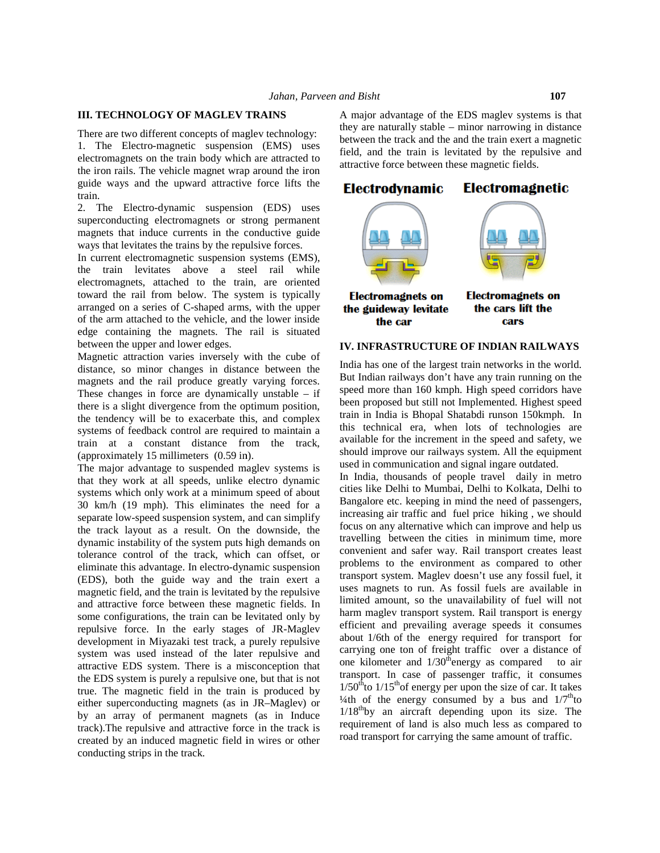#### **III. TECHNOLOGY OF MAGLEV TRAINS TRAINS**

There are two different concepts of maglev technology: 1. The Electro-magnetic suspension (EMS) uses There are two different concepts of maglev technology:<br>
1. The Electro-magnetic suspension (EMS) uses field<br>
electromagnets on the train body which are attracted to the iron rails. The vehicle magnet wrap around the iron guide ways and the upward attractive force lifts the **Electrodynamic** train.

2. The Electro-dynamic suspension (EDS) uses superconducting electromagnets or strong permanent magnets that induce currents in the conductive guide ways that levitates the trains by the repulsive forces.

In current electromagnetic suspension systems (EMS), the train levitates above a steel rail while electromagnets, attached to the train, are oriented toward the rail from below. The system is typically **Electromagnets on** arranged on a series of C-shaped arms, with the upper the guideway levitate of the arm attached to the vehicle, and the lower inside edge containing the magnets. The rail is situated between the upper and lower edges. on rails. The vehicle magnet wrap around the iron<br>ways and the upward attractive force lifts the<br>he Electro-dynamic suspension (EDS) uses<br>conducting electromagnets or strong permanent<br>ets that induce currents in the conduc

Magnetic attraction varies inversely with the cube of distance, so minor changes in distance between the magnets and the rail produce greatly varying forces. These changes in force are dynamically unstable – if there is a slight divergence from the optimum position, the tendency will be to exacerbate this, and complex systems of feedback control are required to maintain a train at a constant distance from the track, (approximately 15 millimeters (0.59 in).

The major advantage to suspended maglev systems is that they work at all speeds, unlike electro dynamic systems which only work at a minimum speed of about 30 km/h (19 mph). This eliminates the need for a separate low-speed suspension system, and can simplify the track layout as a result. On the downside, the dynamic instability of the system puts high demands on tolerance control of the track, which can offset, or  $C_0$ eliminate this advantage. In electro-dynamic suspension (EDS), both the guide way and the train exert a magnetic field, and the train is levitated by the repulsive and attractive force between these magnetic fields. In <sup>limit</sup> some configurations, the train can be levitated only by repulsive force. In the early stages of JR-Maglev development in Miyazaki test track, a purely repulsive system was used instead of the later repulsive and attractive EDS system. There is a misconception that the EDS system is purely a repulsive one, but that is not true. The magnetic field in the train is produced by either superconducting magnets (as in JR–Maglev) or by an array of permanent magnets (as in Induce track).The repulsive and attractive force in the track is created by an induced magnetic field in wires or other conducting strips in the track. endency will be to exacerbate this, and complex<br>ms of feedback control are required to maintain a<br>this at a constant distance from the track,<br>oximately 15 millimeters (0.59 in).<br>major advantage to suspended maglev systems (EDS), both the guide way and the train exert a<br>magnetic field, and the train is levitated by the repulsive<br>and attractive force between these magnetic fields. In<br>some configurations, the train can be levitated only by<br>rep development in Miyazaki test track, a purely repulsive<br>system was used instead of the later repulsive and<br>attractive EDS system. There is a misconception that<br>the EDS system is purely a repulsive one, but that is not<br>true.

A major advantage of the EDS maglev systems is that they are naturally stable – minor narrowing in distance between the track and the and the train exert a magnetic field, and the train is levitated by the repulsive and attractive force between these magnetic fields.



#### **IV. INFRASTRUCTURE OF INDIAN RAILWAYS**

India has one of the largest train networks in the world. But Indian railways don't have any train running on the speed more than 160 kmph. High speed corridors have been proposed but still not Implemented. Highest speed train in India is Bhopal Shatabdi runson 150kmph. In this technical era, when lots of technologies are available for the increment in the speed and safety, we should improve our railways system. All the equipment used in communication and signal ingare outdated.

In India, thousands of people travel daily in metro<br>cities like Delhi to Mumbai, Delhi to Kolkata, Delhi to cities like Delhi to Mumbai, Delhi to Kolkata, Delhi to Bangalore etc. keeping in mind the need of passengers, increasing air traffic and fuel price hiking , we should focus on any alternative which can improve and help us travelling between the cities in minimum time, more convenient and safer way. Rail transport creates least problems to the environment as compared to other transport system. Maglev doesn't use any fossil fuel, it transport system. Maglev doesn't use any fossil fuel, it<br>uses magnets to run. As fossil fuels are available in limited amount, so the unavailability of fuel will not harm maglev transport system. Rail transport is energy efficient and prevailing average speeds it consumes about 1/6th of the energy required for transport for carrying one ton of freight traffic over a distance of one kilometer and  $1/30^{\text{th}}$ energy as compared to air limited amount, so the unavailability of fuel will not<br>harm maglev transport system. Rail transport is energy<br>efficient and prevailing average speeds it consumes<br>about 1/6th of the energy required for transport for<br>carryin  $1/50<sup>th</sup>$  to  $1/15<sup>th</sup>$  of energy per upon the size of car. It takes  $1/50^{\text{th}}$  to  $1/15^{\text{th}}$  of energy per upon the size of car. It takes  $4/4$ th of the energy consumed by a bus and  $1/7^{\text{th}}$  to  $1/18<sup>th</sup>$ by an aircraft depending upon its size. The requirement of land is also much less as compared to road transport for carrying the same amount of traffic. LOO OF MAGERIFY THAT IN the three schools are the set and the time in the time of the set and the time scheme of the time of the set and the time of the set and the set and the set and the set and the set and the set and lore etc. keeping in mind the need of passengers,<br>sing air traffic and fuel price hiking, we should<br>on any alternative which can improve and help us<br>ling between the cities in minimum time, more<br>nient and safer way. Rail t attracted to the attack and all the sealing and the protocol content of the sealing and the iron attractive force between these magnetic fields.<br>
TDS) uses<br>
and the iron attractive force between these magnetic fields.<br>
TDS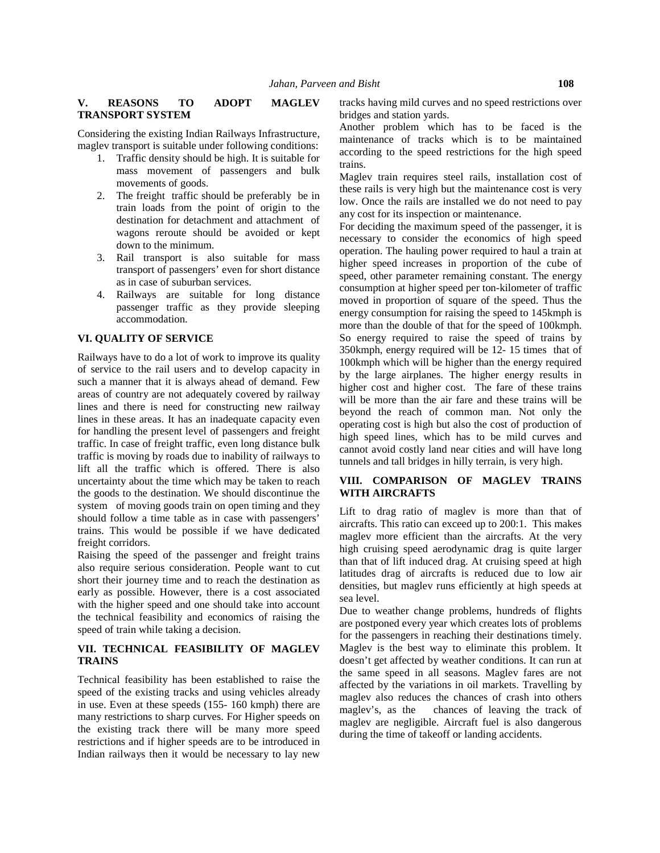### **V. REASONS TO ADOPT MAGLEV TRANSPORT SYSTEM**

Considering the existing Indian Railways Infrastructure, maglev transport is suitable under following conditions:

- 1. Traffic density should be high. It is suitable for mass movement of passengers and bulk movements of goods.
- 2. The freight traffic should be preferably be in train loads from the point of origin to the destination for detachment and attachment of wagons reroute should be avoided or kept down to the minimum.
- 3. Rail transport is also suitable for mass transport of passengers' even for short distance as in case of suburban services.
- 4. Railways are suitable for long distance passenger traffic as they provide sleeping accommodation.

### **VI. QUALITY OF SERVICE**

Railways have to do a lot of work to improve its quality of service to the rail users and to develop capacity in such a manner that it is always ahead of demand. Few areas of country are not adequately covered by railway lines and there is need for constructing new railway lines in these areas. It has an inadequate capacity even for handling the present level of passengers and freight traffic. In case of freight traffic, even long distance bulk traffic is moving by roads due to inability of railways to lift all the traffic which is offered. There is also uncertainty about the time which may be taken to reach the goods to the destination. We should discontinue the system of moving goods train on open timing and they should follow a time table as in case with passengers' trains. This would be possible if we have dedicated freight corridors.

Raising the speed of the passenger and freight trains also require serious consideration. People want to cut short their journey time and to reach the destination as early as possible. However, there is a cost associated with the higher speed and one should take into account the technical feasibility and economics of raising the speed of train while taking a decision.

## **VII. TECHNICAL FEASIBILITY OF MAGLEV TRAINS**

Technical feasibility has been established to raise the speed of the existing tracks and using vehicles already in use. Even at these speeds  $(155-160 \text{ kmph})$  there are  $\frac{\text{maglev}}{\text{maglev}}$ 's, as the many restrictions to sharp curves. For Higher speeds on the existing track there will be many more speed restrictions and if higher speeds are to be introduced in Indian railways then it would be necessary to lay new

tracks having mild curves and no speed restrictions over bridges and station yards.

Another problem which has to be faced is the maintenance of tracks which is to be maintained according to the speed restrictions for the high speed trains.

Maglev train requires steel rails, installation cost of these rails is very high but the maintenance cost is very low. Once the rails are installed we do not need to pay any cost for its inspection or maintenance.

For deciding the maximum speed of the passenger, it is necessary to consider the economics of high speed operation. The hauling power required to haul a train at higher speed increases in proportion of the cube of speed, other parameter remaining constant. The energy consumption at higher speed per ton-kilometer of traffic moved in proportion of square of the speed. Thus the energy consumption for raising the speed to 145kmph is more than the double of that for the speed of 100kmph. So energy required to raise the speed of trains by 350kmph, energy required will be 12- 15 times that of 100kmph which will be higher than the energy required by the large airplanes. The higher energy results in higher cost and higher cost. The fare of these trains will be more than the air fare and these trains will be beyond the reach of common man. Not only the operating cost is high but also the cost of production of high speed lines, which has to be mild curves and cannot avoid costly land near cities and will have long tunnels and tall bridges in hilly terrain, is very high.

## **VIII. COMPARISON OF MAGLEV TRAINS WITH AIRCRAFTS**

Lift to drag ratio of maglev is more than that of aircrafts. This ratio can exceed up to 200:1. This makes maglev more efficient than the aircrafts. At the very high cruising speed aerodynamic drag is quite larger than that of lift induced drag. At cruising speed at high latitudes drag of aircrafts is reduced due to low air densities, but maglev runs efficiently at high speeds at sea level.

Due to weather change problems, hundreds of flights are postponed every year which creates lots of problems for the passengers in reaching their destinations timely. Maglev is the best way to eliminate this problem. It doesn't get affected by weather conditions. It can run at the same speed in all seasons. Maglev fares are not affected by the variations in oil markets. Travelling by maglev also reduces the chances of crash into others chances of leaving the track of maglev are negligible. Aircraft fuel is also dangerous during the time of takeoff or landing accidents.